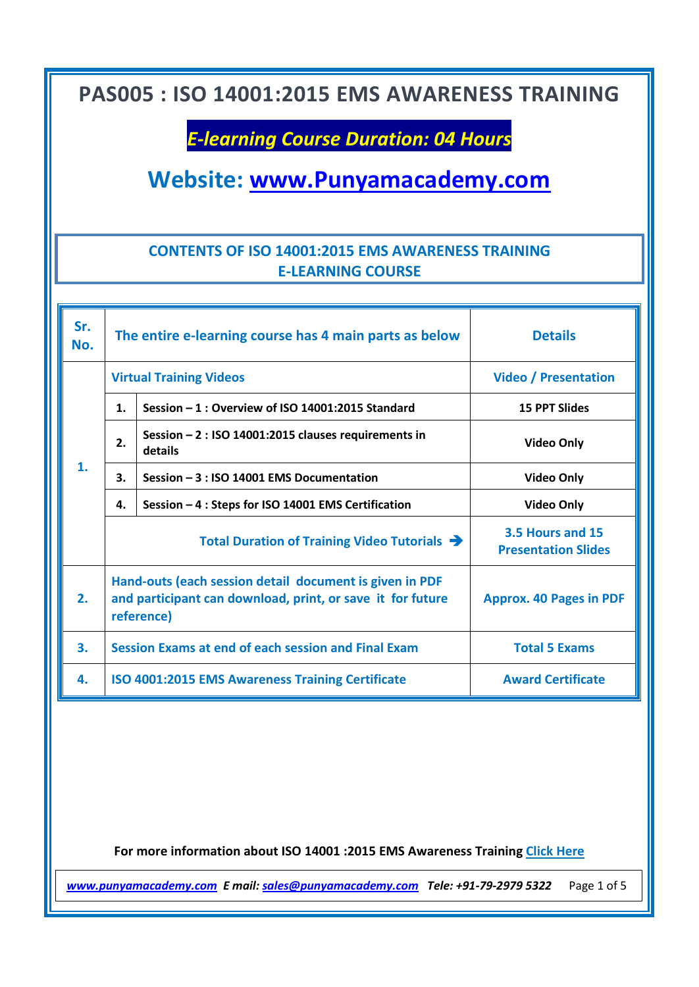## *E-learning Course Duration: 04 Hours*

**Website: [www.Punyamacademy.com](http://www.punyamacademy.com/)**

#### **CONTENTS OF ISO 14001:2015 EMS AWARENESS TRAINING E-LEARNING COURSE**

| Sr.<br>No. | The entire e-learning course has 4 main parts as below                                                                              |                                                                 | <b>Details</b>                                 |
|------------|-------------------------------------------------------------------------------------------------------------------------------------|-----------------------------------------------------------------|------------------------------------------------|
| 1.         | <b>Virtual Training Videos</b>                                                                                                      |                                                                 | <b>Video / Presentation</b>                    |
|            | 1.                                                                                                                                  | Session - 1 : Overview of ISO 14001:2015 Standard               | <b>15 PPT Slides</b>                           |
|            | 2.                                                                                                                                  | Session - 2 : ISO 14001:2015 clauses requirements in<br>details | <b>Video Only</b>                              |
|            | 3.                                                                                                                                  | Session - 3 : ISO 14001 EMS Documentation                       | <b>Video Only</b>                              |
|            | 4.                                                                                                                                  | Session - 4 : Steps for ISO 14001 EMS Certification             | <b>Video Only</b>                              |
|            | Total Duration of Training Video Tutorials $\rightarrow$                                                                            |                                                                 | 3.5 Hours and 15<br><b>Presentation Slides</b> |
| 2.         | Hand-outs (each session detail document is given in PDF<br>and participant can download, print, or save it for future<br>reference) |                                                                 | <b>Approx. 40 Pages in PDF</b>                 |
| 3.         | Session Exams at end of each session and Final Exam                                                                                 |                                                                 | <b>Total 5 Exams</b>                           |
| 4.         | <b>ISO 4001:2015 EMS Awareness Training Certificate</b>                                                                             |                                                                 | <b>Award Certificate</b>                       |

**For more information about ISO 14001 :2015 EMS Awareness Training [Click Here](https://www.punyamacademy.com/course/hse/iso-14001-awareness-training-online)**

*[www.punyamacademy.com](https://www.punyamacademy.com/) E mail[: sales@punyamacademy.com](mailto:sales@punyamacademy.com) Tele: +91-79-2979 5322* Page 1 of 5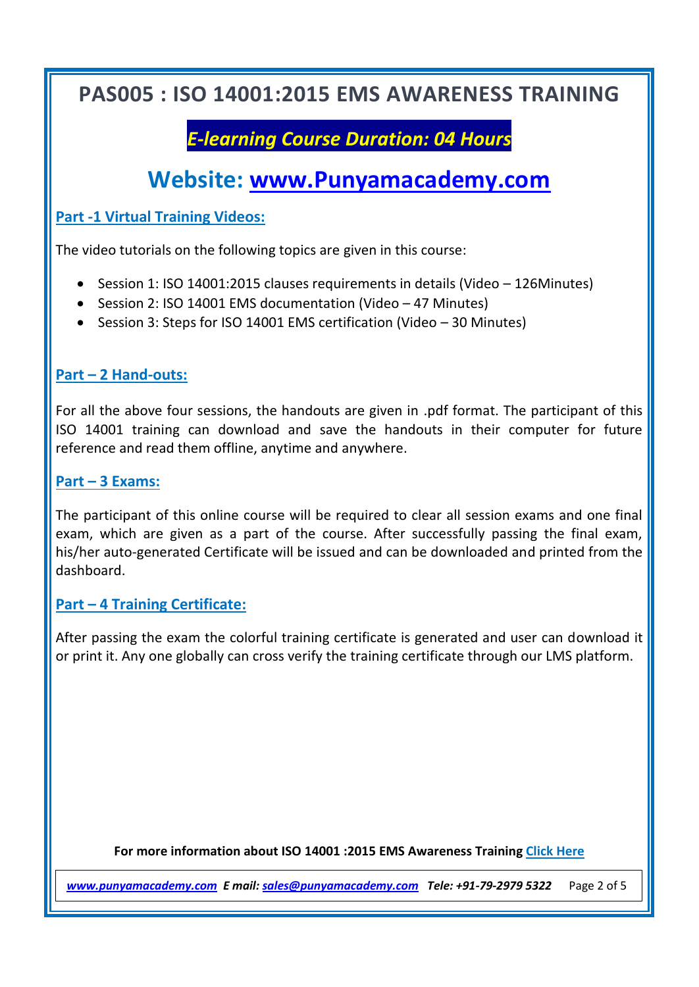# *E-learning Course Duration: 04 Hours*

# **Website: [www.Punyamacademy.com](http://www.punyamacademy.com/)**

**Part -1 Virtual Training Videos:**

The video tutorials on the following topics are given in this course:

- Session 1: ISO 14001:2015 clauses requirements in details (Video 126Minutes)
- Session 2: ISO 14001 EMS documentation (Video 47 Minutes)
- Session 3: Steps for ISO 14001 EMS certification (Video 30 Minutes)

#### **Part – 2 Hand-outs:**

For all the above four sessions, the handouts are given in .pdf format. The participant of this ISO 14001 training can download and save the handouts in their computer for future reference and read them offline, anytime and anywhere.

#### **Part – 3 Exams:**

The participant of this online course will be required to clear all session exams and one final exam, which are given as a part of the course. After successfully passing the final exam, his/her auto-generated Certificate will be issued and can be downloaded and printed from the dashboard.

#### **Part – 4 Training Certificate:**

After passing the exam the colorful training certificate is generated and user can download it or print it. Any one globally can cross verify the training certificate through our LMS platform.

**For more information about ISO 14001 :2015 EMS Awareness Training [Click Here](https://www.punyamacademy.com/course/hse/iso-14001-awareness-training-online)**

*[www.punyamacademy.com](https://www.punyamacademy.com/) E mail[: sales@punyamacademy.com](mailto:sales@punyamacademy.com) Tele: +91-79-2979 5322* Page 2 of 5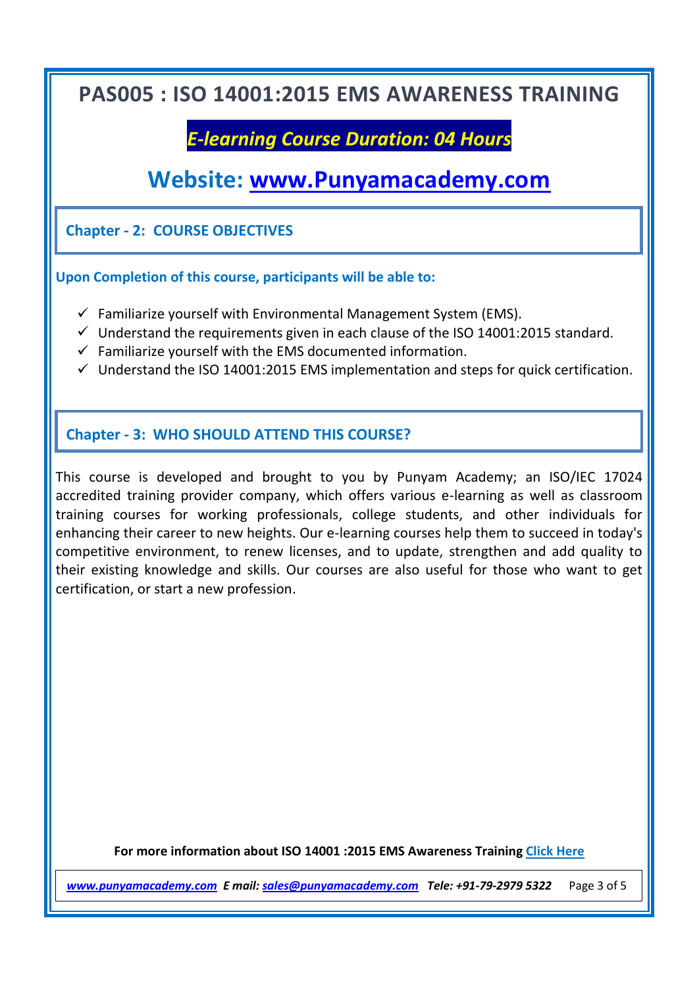## *E-learning Course Duration: 04 Hours*

## **Website: [www.Punyamacademy.com](http://www.punyamacademy.com/)**

**Chapter - 2: COURSE OBJECTIVES**

**Upon Completion of this course, participants will be able to:** 

- $\checkmark$  Familiarize yourself with Environmental Management System (EMS).
- $\checkmark$  Understand the requirements given in each clause of the ISO 14001:2015 standard.
- $\checkmark$  Familiarize vourself with the EMS documented information.
- $\checkmark$  Understand the ISO 14001:2015 EMS implementation and steps for quick certification.

#### **Chapter - 3: WHO SHOULD ATTEND THIS COURSE?**

This course is developed and brought to you by Punyam Academy; an ISO/IEC 17024 accredited training provider company, which offers various e-learning as well as classroom training courses for working professionals, college students, and other individuals for enhancing their career to new heights. Our e-learning courses help them to succeed in today's competitive environment, to renew licenses, and to update, strengthen and add quality to their existing knowledge and skills. Our courses are also useful for those who want to get certification, or start a new profession.

**For more information about ISO 14001 :2015 EMS Awareness Training [Click Here](https://www.punyamacademy.com/course/hse/iso-14001-awareness-training-online)**

*[www.punyamacademy.com](https://www.punyamacademy.com/) E mail[: sales@punyamacademy.com](mailto:sales@punyamacademy.com) Tele: +91-79-2979 5322* Page 3 of 5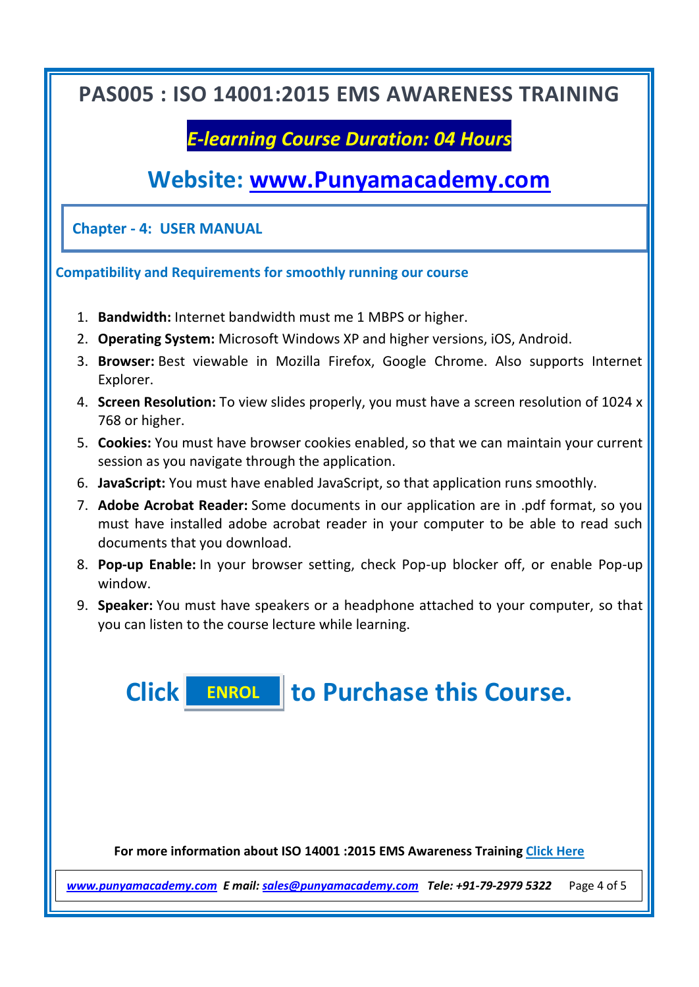## *E-learning Course Duration: 04 Hours*

# **Website: [www.Punyamacademy.com](http://www.punyamacademy.com/)**

**Chapter - 4: USER MANUAL**

#### **Compatibility and Requirements for smoothly running our course**

- 1. **Bandwidth:** Internet bandwidth must me 1 MBPS or higher.
- 2. **Operating System:** Microsoft Windows XP and higher versions, iOS, Android.
- 3. **Browser:** Best viewable in Mozilla Firefox, Google Chrome. Also supports Internet Explorer.
- 4. **Screen Resolution:** To view slides properly, you must have a screen resolution of 1024 x 768 or higher.
- 5. **Cookies:** You must have browser cookies enabled, so that we can maintain your current session as you navigate through the application.
- 6. **JavaScript:** You must have enabled JavaScript, so that application runs smoothly.
- 7. **Adobe Acrobat Reader:** Some documents in our application are in .pdf format, so you must have installed adobe acrobat reader in your computer to be able to read such documents that you download.
- 8. **Pop-up Enable:** In your browser setting, check Pop-up blocker off, or enable Pop-up window.
- 9. **Speaker:** You must have speakers or a headphone attached to your computer, so that you can listen to the course lecture while learning.

**Click to Purchase this Course. [ENROL](https://www.punyamacademy.com/book/iso-14001-awareness-training-online)**

**For more information about ISO 14001 :2015 EMS Awareness Training [Click Here](https://www.punyamacademy.com/course/hse/iso-14001-awareness-training-online)**

*[www.punyamacademy.com](https://www.punyamacademy.com/) E mail[: sales@punyamacademy.com](mailto:sales@punyamacademy.com) Tele: +91-79-2979 5322* Page 4 of 5